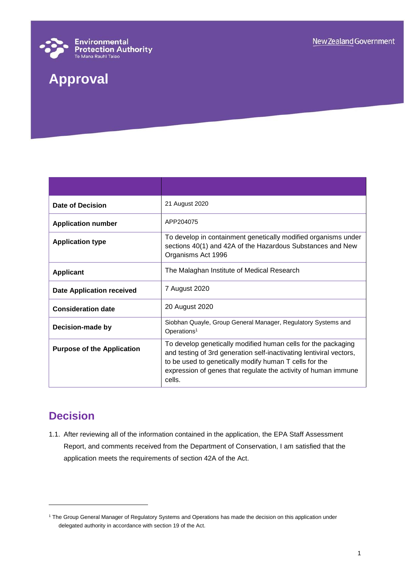

# **Approval**

| Date of Decision                  | 21 August 2020                                                                                                                                                                                                                                                             |
|-----------------------------------|----------------------------------------------------------------------------------------------------------------------------------------------------------------------------------------------------------------------------------------------------------------------------|
| <b>Application number</b>         | APP204075                                                                                                                                                                                                                                                                  |
| <b>Application type</b>           | To develop in containment genetically modified organisms under<br>sections 40(1) and 42A of the Hazardous Substances and New<br>Organisms Act 1996                                                                                                                         |
| <b>Applicant</b>                  | The Malaghan Institute of Medical Research                                                                                                                                                                                                                                 |
| <b>Date Application received</b>  | 7 August 2020                                                                                                                                                                                                                                                              |
| <b>Consideration date</b>         | 20 August 2020                                                                                                                                                                                                                                                             |
| Decision-made by                  | Siobhan Quayle, Group General Manager, Regulatory Systems and<br>Operations <sup>1</sup>                                                                                                                                                                                   |
| <b>Purpose of the Application</b> | To develop genetically modified human cells for the packaging<br>and testing of 3rd generation self-inactivating lentiviral vectors,<br>to be used to genetically modify human T cells for the<br>expression of genes that regulate the activity of human immune<br>cells. |

## **Decision**

l

1.1. After reviewing all of the information contained in the application, the EPA Staff Assessment Report, and comments received from the Department of Conservation, I am satisfied that the application meets the requirements of section 42A of the Act.

<sup>&</sup>lt;sup>1</sup> The Group General Manager of Regulatory Systems and Operations has made the decision on this application under delegated authority in accordance with section 19 of the Act.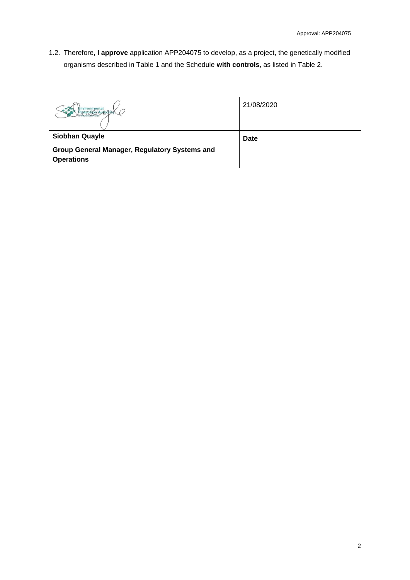1.2. Therefore, **I approve** application APP204075 to develop, as a project, the genetically modified organisms described in Table 1 and the Schedule **with controls**, as listed in Table 2.

**Siobhan Quayle**

21/08/2020

**Group General Manager, Regulatory Systems and Operations**

**Date**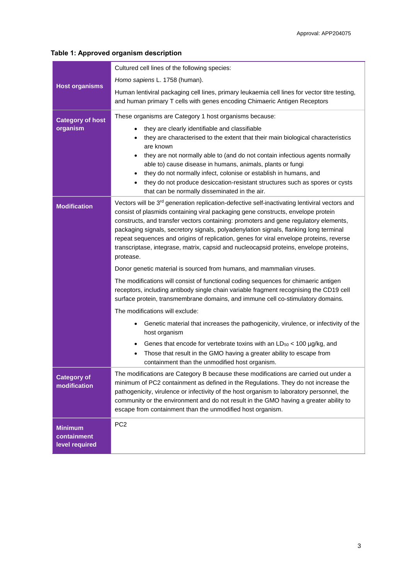### **Table 1: Approved organism description**

|                                                 | Cultured cell lines of the following species:                                                                                                                                                                                                                                                                                                                                                                                                                                                                                                                                    |  |
|-------------------------------------------------|----------------------------------------------------------------------------------------------------------------------------------------------------------------------------------------------------------------------------------------------------------------------------------------------------------------------------------------------------------------------------------------------------------------------------------------------------------------------------------------------------------------------------------------------------------------------------------|--|
|                                                 | Homo sapiens L. 1758 (human).                                                                                                                                                                                                                                                                                                                                                                                                                                                                                                                                                    |  |
| <b>Host organisms</b>                           | Human lentiviral packaging cell lines, primary leukaemia cell lines for vector titre testing,<br>and human primary T cells with genes encoding Chimaeric Antigen Receptors                                                                                                                                                                                                                                                                                                                                                                                                       |  |
| <b>Category of host</b>                         | These organisms are Category 1 host organisms because:                                                                                                                                                                                                                                                                                                                                                                                                                                                                                                                           |  |
| organism                                        | they are clearly identifiable and classifiable<br>$\bullet$<br>they are characterised to the extent that their main biological characteristics                                                                                                                                                                                                                                                                                                                                                                                                                                   |  |
|                                                 | are known                                                                                                                                                                                                                                                                                                                                                                                                                                                                                                                                                                        |  |
|                                                 | they are not normally able to (and do not contain infectious agents normally<br>able to) cause disease in humans, animals, plants or fungi                                                                                                                                                                                                                                                                                                                                                                                                                                       |  |
|                                                 | they do not normally infect, colonise or establish in humans, and                                                                                                                                                                                                                                                                                                                                                                                                                                                                                                                |  |
|                                                 | they do not produce desiccation-resistant structures such as spores or cysts<br>that can be normally disseminated in the air.                                                                                                                                                                                                                                                                                                                                                                                                                                                    |  |
| <b>Modification</b>                             | Vectors will be 3 <sup>rd</sup> generation replication-defective self-inactivating lentiviral vectors and<br>consist of plasmids containing viral packaging gene constructs, envelope protein<br>constructs, and transfer vectors containing: promoters and gene regulatory elements,<br>packaging signals, secretory signals, polyadenylation signals, flanking long terminal<br>repeat sequences and origins of replication, genes for viral envelope proteins, reverse<br>transcriptase, integrase, matrix, capsid and nucleocapsid proteins, envelope proteins,<br>protease. |  |
|                                                 | Donor genetic material is sourced from humans, and mammalian viruses.                                                                                                                                                                                                                                                                                                                                                                                                                                                                                                            |  |
|                                                 | The modifications will consist of functional coding sequences for chimaeric antigen<br>receptors, including antibody single chain variable fragment recognising the CD19 cell<br>surface protein, transmembrane domains, and immune cell co-stimulatory domains.                                                                                                                                                                                                                                                                                                                 |  |
|                                                 | The modifications will exclude:                                                                                                                                                                                                                                                                                                                                                                                                                                                                                                                                                  |  |
|                                                 | Genetic material that increases the pathogenicity, virulence, or infectivity of the<br>$\bullet$<br>host organism                                                                                                                                                                                                                                                                                                                                                                                                                                                                |  |
|                                                 | Genes that encode for vertebrate toxins with an $LD_{50}$ < 100 $\mu$ g/kg, and<br>Those that result in the GMO having a greater ability to escape from<br>$\bullet$<br>containment than the unmodified host organism.                                                                                                                                                                                                                                                                                                                                                           |  |
| <b>Category of</b><br>modification              | The modifications are Category B because these modifications are carried out under a<br>minimum of PC2 containment as defined in the Regulations. They do not increase the<br>pathogenicity, virulence or infectivity of the host organism to laboratory personnel, the<br>community or the environment and do not result in the GMO having a greater ability to<br>escape from containment than the unmodified host organism.                                                                                                                                                   |  |
| <b>Minimum</b><br>containment<br>level required | PC <sub>2</sub>                                                                                                                                                                                                                                                                                                                                                                                                                                                                                                                                                                  |  |